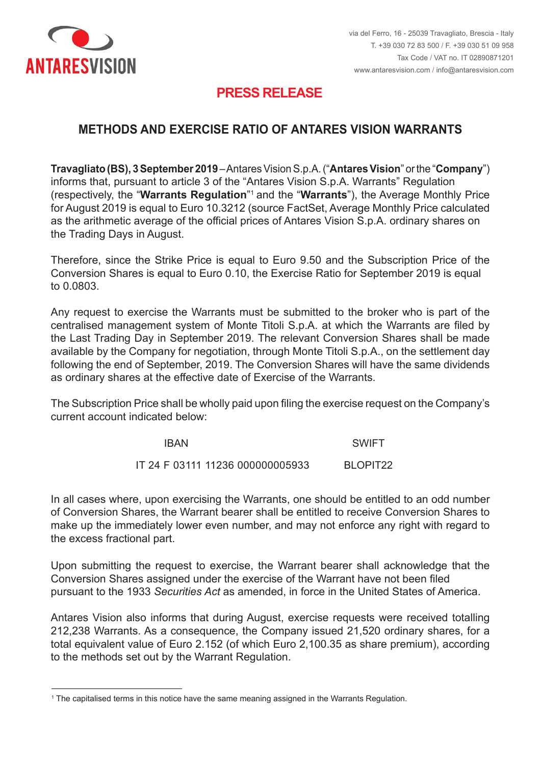

<u>.</u>

## **PRESS RELEASE PRESS RELEASE**

#### **METHODS AND EXERCISE RATIO OF ANTARES VISION WARRANTS**

Travagliato (BS), 3 September 2019 – Antares Vision S.p.A. ("Antares Vision" or the "Company") informs that, pursuant to article 3 of the "Antares Vision S.p.A. Warrants" Regulation (respectively, the "Warrants Regulation"<sup>1</sup> and the "Warrants"), the Average Monthly Price for August 2019 is equal to Euro 10.3212 (source FactSet, Average Monthly Price calculated as the arithmetic average of the official prices of Antares Vision S.p.A. ordinary shares on the Trading Days in August.

Therefore, since the Strike Price is equal to Euro 9.50 and the Subscription Price of the Conversion Shares is equal to Euro 0.10, the Exercise Ratio for September 2019 is equal to 0,0803

to 0.0803.<br>Any request to exercise the Warrants must be submitted to the broker who is part of the centralised management system of Monte Titoli S.p.A. at which the Warrants are filed by the Last Trading Day in September 2019. The relevant Conversion Shares shall be made available by the Company for negotiation, through Monte Titoli S.p.A., on the settlement day following the end of September, 2019. The Conversion Shares will have the same dividends as ordinary shares at the effective date of Exercise of the Warrants. the Last Trading Day in September 2019. The relevant Conversion Shares shall be made<br>available by the Company for negotiation, through Monte Titoli S.p.A., on the settlement day<br>following the end of September, 2019. The Co

current account indicated below: essere integralmente versato all'atto della presentazione della presentazione The Subscription Price shall be wholly paid upon filing the exercise request on the Company's

| IBAN                             | SWIFT                |
|----------------------------------|----------------------|
| IT 24 F 03111 11236 000000005933 | BLOPIT <sub>22</sub> |

of Conversion Shares, the Warrant bearer shall be entitled to receive Conversion Shares to make up the immediately lower even number, and may not enforce any right with regard to the excess fractional part. In all cases where, upon exercising the Warrants, one should be entitled to an odd number of Conversion Shares, the Warrant bearer shall be entitled to receive Conversion Shares to<br>make up the immediately lower even number, and may not enforce any right with regard to<br>the excess fractional part.

Conversion Shares assigned under the exercise of the Warrant have not been filed pursuant to the 1933 *Securities Act* as amended, in force in the United States of America. Upon submitting the request to exercise, the Warrant bearer shall acknowledge that the

212,238 Warrants. As a consequence, the Company issued 21,520 ordinary shares, for a total equivalent value of Euro 2.152 (of which Euro 2,100.35 as share premium), according to the methods set out by the Warrant Regulation. Antares Vision also informs that during August, exercise requests were received totalling

 $^{\rm 1}$  The capitalised terms in this notice have the same meaning assigned in the Warrants Regulation.